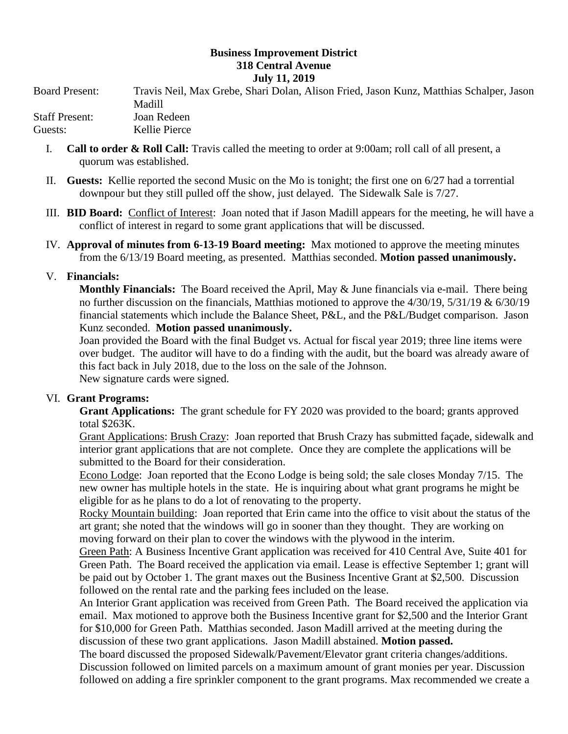## **Business Improvement District 318 Central Avenue July 11, 2019**

Board Present: Travis Neil, Max Grebe, Shari Dolan, Alison Fried, Jason Kunz, Matthias Schalper, Jason Madill Staff Present: Joan Redeen Guests: Kellie Pierce

- I. **Call to order & Roll Call:** Travis called the meeting to order at 9:00am; roll call of all present, a quorum was established.
- II. **Guests:** Kellie reported the second Music on the Mo is tonight; the first one on 6/27 had a torrential downpour but they still pulled off the show, just delayed. The Sidewalk Sale is 7/27.
- III. **BID Board:** Conflict of Interest: Joan noted that if Jason Madill appears for the meeting, he will have a conflict of interest in regard to some grant applications that will be discussed.
- IV. **Approval of minutes from 6-13-19 Board meeting:** Max motioned to approve the meeting minutes from the 6/13/19 Board meeting, as presented. Matthias seconded. **Motion passed unanimously.**

## V. **Financials:**

**Monthly Financials:** The Board received the April, May & June financials via e-mail. There being no further discussion on the financials, Matthias motioned to approve the 4/30/19, 5/31/19 & 6/30/19 financial statements which include the Balance Sheet, P&L, and the P&L/Budget comparison. Jason Kunz seconded. **Motion passed unanimously.**

Joan provided the Board with the final Budget vs. Actual for fiscal year 2019; three line items were over budget. The auditor will have to do a finding with the audit, but the board was already aware of this fact back in July 2018, due to the loss on the sale of the Johnson. New signature cards were signed.

## VI. **Grant Programs:**

**Grant Applications:** The grant schedule for FY 2020 was provided to the board; grants approved total \$263K.

Grant Applications: Brush Crazy: Joan reported that Brush Crazy has submitted façade, sidewalk and interior grant applications that are not complete. Once they are complete the applications will be submitted to the Board for their consideration.

Econo Lodge: Joan reported that the Econo Lodge is being sold; the sale closes Monday 7/15. The new owner has multiple hotels in the state. He is inquiring about what grant programs he might be eligible for as he plans to do a lot of renovating to the property.

Rocky Mountain building: Joan reported that Erin came into the office to visit about the status of the art grant; she noted that the windows will go in sooner than they thought. They are working on moving forward on their plan to cover the windows with the plywood in the interim.

Green Path: A Business Incentive Grant application was received for 410 Central Ave, Suite 401 for Green Path. The Board received the application via email. Lease is effective September 1; grant will be paid out by October 1. The grant maxes out the Business Incentive Grant at \$2,500. Discussion followed on the rental rate and the parking fees included on the lease.

An Interior Grant application was received from Green Path. The Board received the application via email. Max motioned to approve both the Business Incentive grant for \$2,500 and the Interior Grant for \$10,000 for Green Path. Matthias seconded. Jason Madill arrived at the meeting during the discussion of these two grant applications. Jason Madill abstained. **Motion passed.**

The board discussed the proposed Sidewalk/Pavement/Elevator grant criteria changes/additions. Discussion followed on limited parcels on a maximum amount of grant monies per year. Discussion followed on adding a fire sprinkler component to the grant programs. Max recommended we create a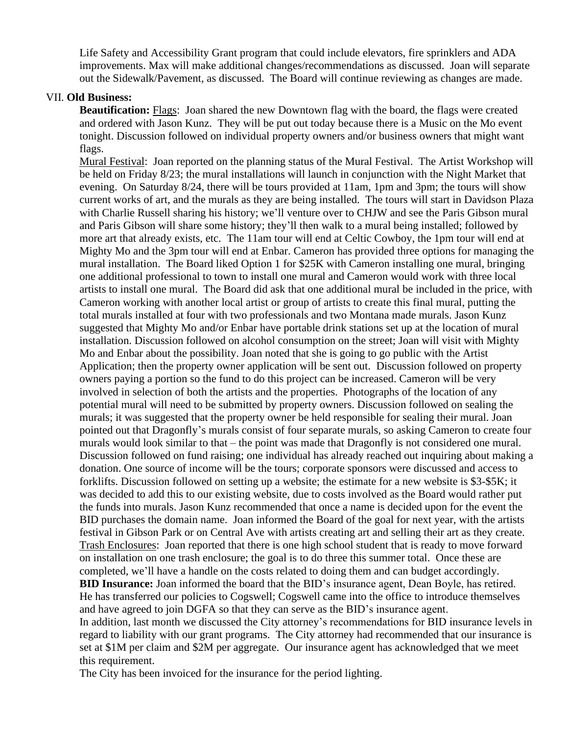Life Safety and Accessibility Grant program that could include elevators, fire sprinklers and ADA improvements. Max will make additional changes/recommendations as discussed. Joan will separate out the Sidewalk/Pavement, as discussed. The Board will continue reviewing as changes are made.

## VII. **Old Business:**

**Beautification:** Flags: Joan shared the new Downtown flag with the board, the flags were created and ordered with Jason Kunz. They will be put out today because there is a Music on the Mo event tonight. Discussion followed on individual property owners and/or business owners that might want flags.

Mural Festival: Joan reported on the planning status of the Mural Festival. The Artist Workshop will be held on Friday 8/23; the mural installations will launch in conjunction with the Night Market that evening. On Saturday 8/24, there will be tours provided at 11am, 1pm and 3pm; the tours will show current works of art, and the murals as they are being installed. The tours will start in Davidson Plaza with Charlie Russell sharing his history; we'll venture over to CHJW and see the Paris Gibson mural and Paris Gibson will share some history; they'll then walk to a mural being installed; followed by more art that already exists, etc. The 11am tour will end at Celtic Cowboy, the 1pm tour will end at Mighty Mo and the 3pm tour will end at Enbar. Cameron has provided three options for managing the mural installation. The Board liked Option 1 for \$25K with Cameron installing one mural, bringing one additional professional to town to install one mural and Cameron would work with three local artists to install one mural. The Board did ask that one additional mural be included in the price, with Cameron working with another local artist or group of artists to create this final mural, putting the total murals installed at four with two professionals and two Montana made murals. Jason Kunz suggested that Mighty Mo and/or Enbar have portable drink stations set up at the location of mural installation. Discussion followed on alcohol consumption on the street; Joan will visit with Mighty Mo and Enbar about the possibility. Joan noted that she is going to go public with the Artist Application; then the property owner application will be sent out. Discussion followed on property owners paying a portion so the fund to do this project can be increased. Cameron will be very involved in selection of both the artists and the properties. Photographs of the location of any potential mural will need to be submitted by property owners. Discussion followed on sealing the murals; it was suggested that the property owner be held responsible for sealing their mural. Joan pointed out that Dragonfly's murals consist of four separate murals, so asking Cameron to create four murals would look similar to that – the point was made that Dragonfly is not considered one mural. Discussion followed on fund raising; one individual has already reached out inquiring about making a donation. One source of income will be the tours; corporate sponsors were discussed and access to forklifts. Discussion followed on setting up a website; the estimate for a new website is \$3-\$5K; it was decided to add this to our existing website, due to costs involved as the Board would rather put the funds into murals. Jason Kunz recommended that once a name is decided upon for the event the BID purchases the domain name. Joan informed the Board of the goal for next year, with the artists festival in Gibson Park or on Central Ave with artists creating art and selling their art as they create. Trash Enclosures: Joan reported that there is one high school student that is ready to move forward on installation on one trash enclosure; the goal is to do three this summer total. Once these are completed, we'll have a handle on the costs related to doing them and can budget accordingly. **BID Insurance:** Joan informed the board that the BID's insurance agent, Dean Boyle, has retired. He has transferred our policies to Cogswell; Cogswell came into the office to introduce themselves and have agreed to join DGFA so that they can serve as the BID's insurance agent. In addition, last month we discussed the City attorney's recommendations for BID insurance levels in regard to liability with our grant programs. The City attorney had recommended that our insurance is set at \$1M per claim and \$2M per aggregate. Our insurance agent has acknowledged that we meet this requirement.

The City has been invoiced for the insurance for the period lighting.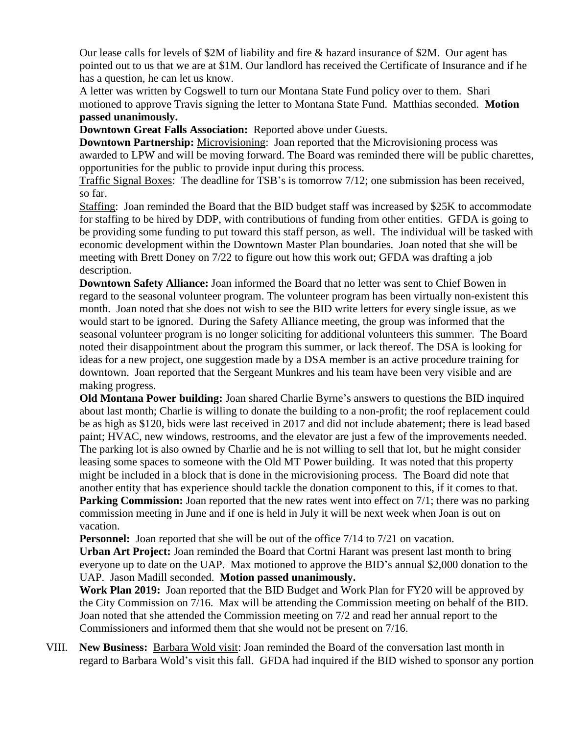Our lease calls for levels of \$2M of liability and fire & hazard insurance of \$2M. Our agent has pointed out to us that we are at \$1M. Our landlord has received the Certificate of Insurance and if he has a question, he can let us know.

A letter was written by Cogswell to turn our Montana State Fund policy over to them. Shari motioned to approve Travis signing the letter to Montana State Fund. Matthias seconded. **Motion passed unanimously.** 

**Downtown Great Falls Association:** Reported above under Guests.

**Downtown Partnership:** Microvisioning: Joan reported that the Microvisioning process was awarded to LPW and will be moving forward. The Board was reminded there will be public charettes, opportunities for the public to provide input during this process.

Traffic Signal Boxes: The deadline for TSB's is tomorrow 7/12; one submission has been received, so far.

Staffing: Joan reminded the Board that the BID budget staff was increased by \$25K to accommodate for staffing to be hired by DDP, with contributions of funding from other entities. GFDA is going to be providing some funding to put toward this staff person, as well. The individual will be tasked with economic development within the Downtown Master Plan boundaries. Joan noted that she will be meeting with Brett Doney on 7/22 to figure out how this work out; GFDA was drafting a job description.

**Downtown Safety Alliance:** Joan informed the Board that no letter was sent to Chief Bowen in regard to the seasonal volunteer program. The volunteer program has been virtually non-existent this month. Joan noted that she does not wish to see the BID write letters for every single issue, as we would start to be ignored. During the Safety Alliance meeting, the group was informed that the seasonal volunteer program is no longer soliciting for additional volunteers this summer. The Board noted their disappointment about the program this summer, or lack thereof. The DSA is looking for ideas for a new project, one suggestion made by a DSA member is an active procedure training for downtown. Joan reported that the Sergeant Munkres and his team have been very visible and are making progress.

**Old Montana Power building:** Joan shared Charlie Byrne's answers to questions the BID inquired about last month; Charlie is willing to donate the building to a non-profit; the roof replacement could be as high as \$120, bids were last received in 2017 and did not include abatement; there is lead based paint; HVAC, new windows, restrooms, and the elevator are just a few of the improvements needed. The parking lot is also owned by Charlie and he is not willing to sell that lot, but he might consider leasing some spaces to someone with the Old MT Power building. It was noted that this property might be included in a block that is done in the microvisioning process. The Board did note that another entity that has experience should tackle the donation component to this, if it comes to that. **Parking Commission:** Joan reported that the new rates went into effect on 7/1; there was no parking commission meeting in June and if one is held in July it will be next week when Joan is out on vacation.

**Personnel:** Joan reported that she will be out of the office  $7/14$  to  $7/21$  on vacation.

**Urban Art Project:** Joan reminded the Board that Cortni Harant was present last month to bring everyone up to date on the UAP. Max motioned to approve the BID's annual \$2,000 donation to the UAP. Jason Madill seconded. **Motion passed unanimously.** 

**Work Plan 2019:** Joan reported that the BID Budget and Work Plan for FY20 will be approved by the City Commission on 7/16. Max will be attending the Commission meeting on behalf of the BID. Joan noted that she attended the Commission meeting on 7/2 and read her annual report to the Commissioners and informed them that she would not be present on 7/16.

VIII. **New Business:** Barbara Wold visit: Joan reminded the Board of the conversation last month in regard to Barbara Wold's visit this fall. GFDA had inquired if the BID wished to sponsor any portion